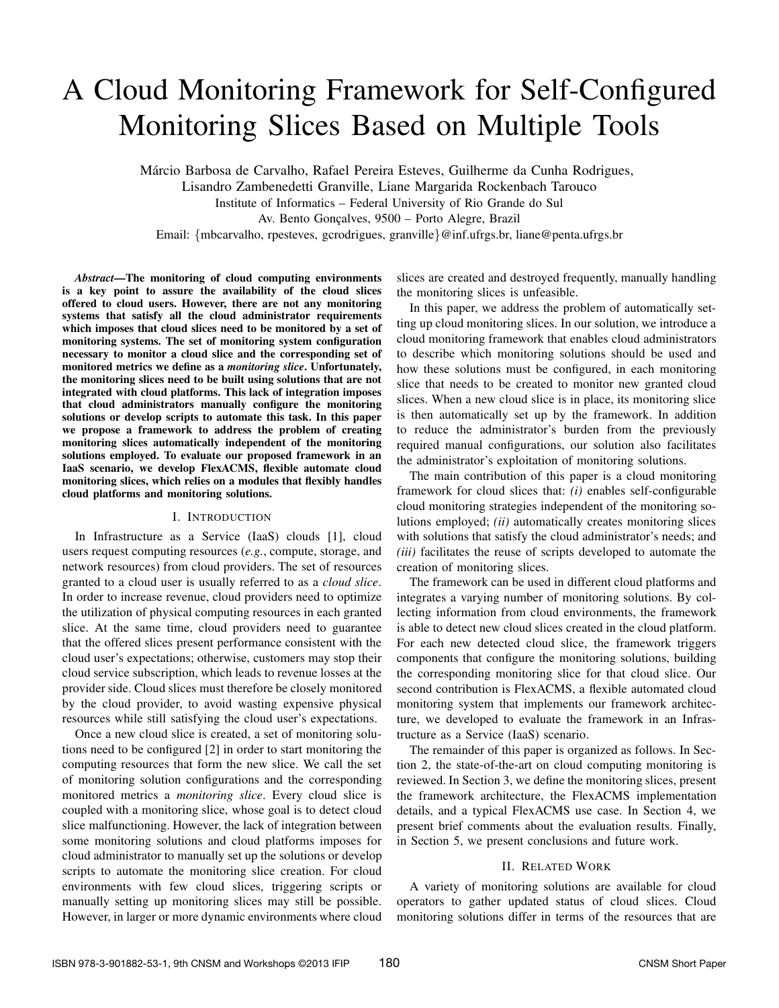# A Cloud Monitoring Framework for Self-Configured Monitoring Slices Based on Multiple Tools

Márcio Barbosa de Carvalho, Rafael Pereira Esteves, Guilherme da Cunha Rodrigues, Lisandro Zambenedetti Granville, Liane Margarida Rockenbach Tarouco Institute of Informatics – Federal University of Rio Grande do Sul Av. Bento Gonçalves, 9500 – Porto Alegre, Brazil Email: {mbcarvalho, rpesteves, gcrodrigues, granville}@inf.ufrgs.br, liane@penta.ufrgs.br

*Abstract*—The monitoring of cloud computing environments is a key point to assure the availability of the cloud slices offered to cloud users. However, there are not any monitoring systems that satisfy all the cloud administrator requirements which imposes that cloud slices need to be monitored by a set of monitoring systems. The set of monitoring system configuration necessary to monitor a cloud slice and the corresponding set of monitored metrics we define as a *monitoring slice*. Unfortunately, the monitoring slices need to be built using solutions that are not integrated with cloud platforms. This lack of integration imposes that cloud administrators manually configure the monitoring solutions or develop scripts to automate this task. In this paper we propose a framework to address the problem of creating monitoring slices automatically independent of the monitoring solutions employed. To evaluate our proposed framework in an IaaS scenario, we develop FlexACMS, flexible automate cloud monitoring slices, which relies on a modules that flexibly handles cloud platforms and monitoring solutions.

## I. INTRODUCTION

In Infrastructure as a Service (IaaS) clouds [1], cloud users request computing resources (*e.g.*, compute, storage, and network resources) from cloud providers. The set of resources granted to a cloud user is usually referred to as a *cloud slice*. In order to increase revenue, cloud providers need to optimize the utilization of physical computing resources in each granted slice. At the same time, cloud providers need to guarantee that the offered slices present performance consistent with the cloud user's expectations; otherwise, customers may stop their cloud service subscription, which leads to revenue losses at the provider side. Cloud slices must therefore be closely monitored by the cloud provider, to avoid wasting expensive physical resources while still satisfying the cloud user's expectations.

Once a new cloud slice is created, a set of monitoring solutions need to be configured [2] in order to start monitoring the computing resources that form the new slice. We call the set of monitoring solution configurations and the corresponding monitored metrics a *monitoring slice*. Every cloud slice is coupled with a monitoring slice, whose goal is to detect cloud slice malfunctioning. However, the lack of integration between some monitoring solutions and cloud platforms imposes for cloud administrator to manually set up the solutions or develop scripts to automate the monitoring slice creation. For cloud environments with few cloud slices, triggering scripts or manually setting up monitoring slices may still be possible. However, in larger or more dynamic environments where cloud

slices are created and destroyed frequently, manually handling the monitoring slices is unfeasible.

In this paper, we address the problem of automatically setting up cloud monitoring slices. In our solution, we introduce a cloud monitoring framework that enables cloud administrators to describe which monitoring solutions should be used and how these solutions must be configured, in each monitoring slice that needs to be created to monitor new granted cloud slices. When a new cloud slice is in place, its monitoring slice is then automatically set up by the framework. In addition to reduce the administrator's burden from the previously required manual configurations, our solution also facilitates the administrator's exploitation of monitoring solutions.

The main contribution of this paper is a cloud monitoring framework for cloud slices that: *(i)* enables self-configurable cloud monitoring strategies independent of the monitoring solutions employed; *(ii)* automatically creates monitoring slices with solutions that satisfy the cloud administrator's needs; and *(iii)* facilitates the reuse of scripts developed to automate the creation of monitoring slices.

The framework can be used in different cloud platforms and integrates a varying number of monitoring solutions. By collecting information from cloud environments, the framework is able to detect new cloud slices created in the cloud platform. For each new detected cloud slice, the framework triggers components that configure the monitoring solutions, building the corresponding monitoring slice for that cloud slice. Our second contribution is FlexACMS, a flexible automated cloud monitoring system that implements our framework architecture, we developed to evaluate the framework in an Infrastructure as a Service (IaaS) scenario.

The remainder of this paper is organized as follows. In Section 2, the state-of-the-art on cloud computing monitoring is reviewed. In Section 3, we define the monitoring slices, present the framework architecture, the FlexACMS implementation details, and a typical FlexACMS use case. In Section 4, we present brief comments about the evaluation results. Finally, in Section 5, we present conclusions and future work.

### II. RELATED WORK

A variety of monitoring solutions are available for cloud operators to gather updated status of cloud slices. Cloud monitoring solutions differ in terms of the resources that are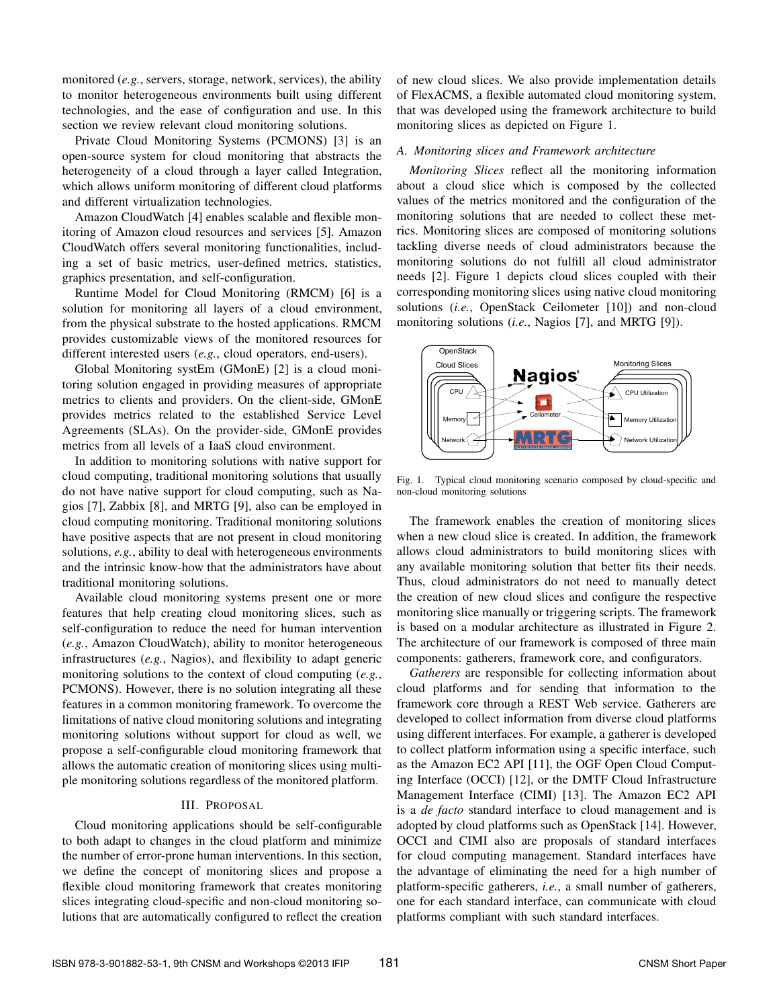monitored (*e.g.*, servers, storage, network, services), the ability to monitor heterogeneous environments built using different technologies, and the ease of configuration and use. In this section we review relevant cloud monitoring solutions.

Private Cloud Monitoring Systems (PCMONS) [3] is an open-source system for cloud monitoring that abstracts the heterogeneity of a cloud through a layer called Integration, which allows uniform monitoring of different cloud platforms and different virtualization technologies.

Amazon CloudWatch [4] enables scalable and flexible monitoring of Amazon cloud resources and services [5]. Amazon CloudWatch offers several monitoring functionalities, including a set of basic metrics, user-defined metrics, statistics, graphics presentation, and self-configuration.

Runtime Model for Cloud Monitoring (RMCM) [6] is a solution for monitoring all layers of a cloud environment, from the physical substrate to the hosted applications. RMCM provides customizable views of the monitored resources for different interested users (*e.g.*, cloud operators, end-users).

Global Monitoring systEm (GMonE) [2] is a cloud monitoring solution engaged in providing measures of appropriate metrics to clients and providers. On the client-side, GMonE provides metrics related to the established Service Level Agreements (SLAs). On the provider-side, GMonE provides metrics from all levels of a IaaS cloud environment.

In addition to monitoring solutions with native support for cloud computing, traditional monitoring solutions that usually do not have native support for cloud computing, such as Nagios [7], Zabbix [8], and MRTG [9], also can be employed in cloud computing monitoring. Traditional monitoring solutions have positive aspects that are not present in cloud monitoring solutions, *e.g.*, ability to deal with heterogeneous environments and the intrinsic know-how that the administrators have about traditional monitoring solutions.

Available cloud monitoring systems present one or more features that help creating cloud monitoring slices, such as self-configuration to reduce the need for human intervention (*e.g.*, Amazon CloudWatch), ability to monitor heterogeneous infrastructures (*e.g.*, Nagios), and flexibility to adapt generic monitoring solutions to the context of cloud computing (*e.g.*, PCMONS). However, there is no solution integrating all these features in a common monitoring framework. To overcome the limitations of native cloud monitoring solutions and integrating monitoring solutions without support for cloud as well, we propose a self-configurable cloud monitoring framework that allows the automatic creation of monitoring slices using multiple monitoring solutions regardless of the monitored platform.

# III. PROPOSAL

Cloud monitoring applications should be self-configurable to both adapt to changes in the cloud platform and minimize the number of error-prone human interventions. In this section, we define the concept of monitoring slices and propose a flexible cloud monitoring framework that creates monitoring slices integrating cloud-specific and non-cloud monitoring solutions that are automatically configured to reflect the creation

of new cloud slices. We also provide implementation details of FlexACMS, a flexible automated cloud monitoring system, that was developed using the framework architecture to build monitoring slices as depicted on Figure 1.

## *A. Monitoring slices and Framework architecture*

*Monitoring Slices* reflect all the monitoring information about a cloud slice which is composed by the collected values of the metrics monitored and the configuration of the monitoring solutions that are needed to collect these metrics. Monitoring slices are composed of monitoring solutions tackling diverse needs of cloud administrators because the monitoring solutions do not fulfill all cloud administrator needs [2]. Figure 1 depicts cloud slices coupled with their corresponding monitoring slices using native cloud monitoring solutions (*i.e.*, OpenStack Ceilometer [10]) and non-cloud monitoring solutions (*i.e.*, Nagios [7], and MRTG [9]).



Fig. 1. Typical cloud monitoring scenario composed by cloud-specific and non-cloud monitoring solutions

The framework enables the creation of monitoring slices when a new cloud slice is created. In addition, the framework allows cloud administrators to build monitoring slices with any available monitoring solution that better fits their needs. Thus, cloud administrators do not need to manually detect the creation of new cloud slices and configure the respective monitoring slice manually or triggering scripts. The framework is based on a modular architecture as illustrated in Figure 2. The architecture of our framework is composed of three main components: gatherers, framework core, and configurators.

*Gatherers* are responsible for collecting information about cloud platforms and for sending that information to the framework core through a REST Web service. Gatherers are developed to collect information from diverse cloud platforms using different interfaces. For example, a gatherer is developed to collect platform information using a specific interface, such as the Amazon EC2 API [11], the OGF Open Cloud Computing Interface (OCCI) [12], or the DMTF Cloud Infrastructure Management Interface (CIMI) [13]. The Amazon EC2 API is a *de facto* standard interface to cloud management and is adopted by cloud platforms such as OpenStack [14]. However, OCCI and CIMI also are proposals of standard interfaces for cloud computing management. Standard interfaces have the advantage of eliminating the need for a high number of platform-specific gatherers, *i.e.*, a small number of gatherers, one for each standard interface, can communicate with cloud platforms compliant with such standard interfaces.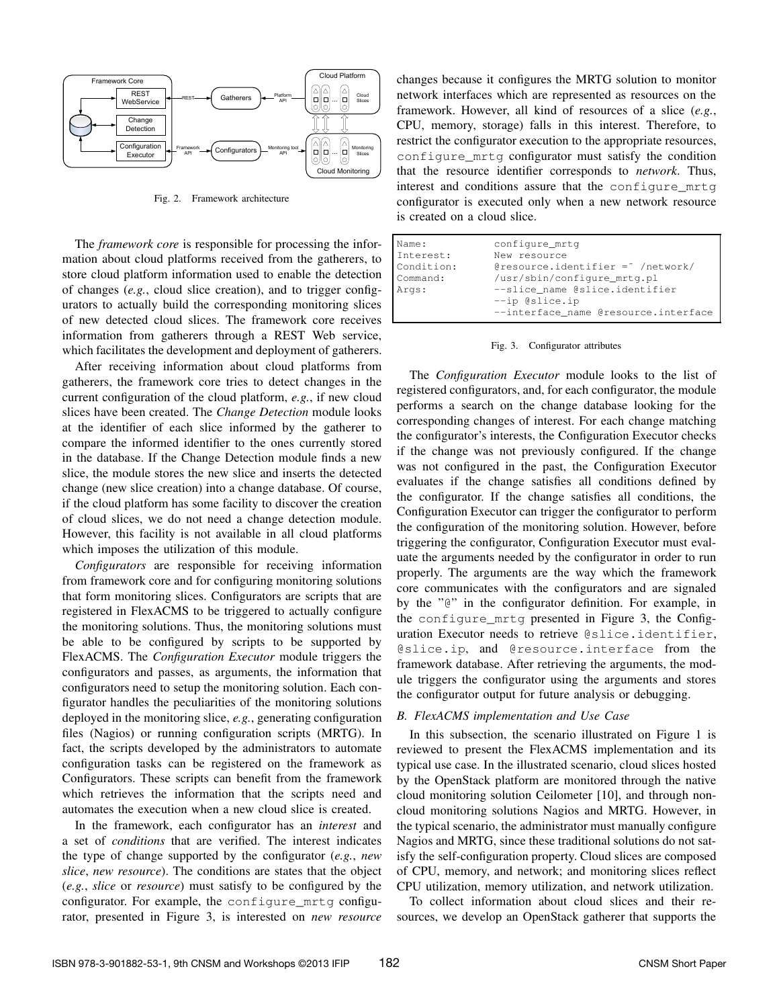

Fig. 2. Framework architecture

The *framework core* is responsible for processing the information about cloud platforms received from the gatherers, to store cloud platform information used to enable the detection of changes (*e.g.*, cloud slice creation), and to trigger configurators to actually build the corresponding monitoring slices of new detected cloud slices. The framework core receives information from gatherers through a REST Web service, which facilitates the development and deployment of gatherers.

After receiving information about cloud platforms from gatherers, the framework core tries to detect changes in the current configuration of the cloud platform, *e.g.*, if new cloud slices have been created. The *Change Detection* module looks at the identifier of each slice informed by the gatherer to compare the informed identifier to the ones currently stored in the database. If the Change Detection module finds a new slice, the module stores the new slice and inserts the detected change (new slice creation) into a change database. Of course, if the cloud platform has some facility to discover the creation of cloud slices, we do not need a change detection module. However, this facility is not available in all cloud platforms which imposes the utilization of this module.

*Configurators* are responsible for receiving information from framework core and for configuring monitoring solutions that form monitoring slices. Configurators are scripts that are registered in FlexACMS to be triggered to actually configure the monitoring solutions. Thus, the monitoring solutions must be able to be configured by scripts to be supported by FlexACMS. The *Configuration Executor* module triggers the configurators and passes, as arguments, the information that configurators need to setup the monitoring solution. Each configurator handles the peculiarities of the monitoring solutions deployed in the monitoring slice, *e.g.*, generating configuration files (Nagios) or running configuration scripts (MRTG). In fact, the scripts developed by the administrators to automate configuration tasks can be registered on the framework as Configurators. These scripts can benefit from the framework which retrieves the information that the scripts need and automates the execution when a new cloud slice is created.

In the framework, each configurator has an *interest* and a set of *conditions* that are verified. The interest indicates the type of change supported by the configurator (*e.g.*, *new slice*, *new resource*). The conditions are states that the object (*e.g.*, *slice* or *resource*) must satisfy to be configured by the configurator. For example, the configure\_mrtg configurator, presented in Figure 3, is interested on *new resource* changes because it configures the MRTG solution to monitor network interfaces which are represented as resources on the framework. However, all kind of resources of a slice (*e.g.*, CPU, memory, storage) falls in this interest. Therefore, to restrict the configurator execution to the appropriate resources, configure\_mrtg configurator must satisfy the condition that the resource identifier corresponds to *network*. Thus, interest and conditions assure that the configure\_mrtg configurator is executed only when a new network resource is created on a cloud slice.

| Name:<br>Interest: | confiqure_mrtq<br>New resource              |  |
|--------------------|---------------------------------------------|--|
| Condition:         | @resource.identifier = $^{\circ}$ /network/ |  |
| Command:           | /usr/sbin/configure mrtg.pl                 |  |
| Args:              | --slice name @slice.identifier              |  |
|                    | $-\text{-}ip$ @slice.ip                     |  |
|                    | --interface name @resource.interface        |  |

#### Fig. 3. Configurator attributes

The *Configuration Executor* module looks to the list of registered configurators, and, for each configurator, the module performs a search on the change database looking for the corresponding changes of interest. For each change matching the configurator's interests, the Configuration Executor checks if the change was not previously configured. If the change was not configured in the past, the Configuration Executor evaluates if the change satisfies all conditions defined by the configurator. If the change satisfies all conditions, the Configuration Executor can trigger the configurator to perform the configuration of the monitoring solution. However, before triggering the configurator, Configuration Executor must evaluate the arguments needed by the configurator in order to run properly. The arguments are the way which the framework core communicates with the configurators and are signaled by the "@" in the configurator definition. For example, in the configure mrtg presented in Figure 3, the Configuration Executor needs to retrieve @slice.identifier, @slice.ip, and @resource.interface from the framework database. After retrieving the arguments, the module triggers the configurator using the arguments and stores the configurator output for future analysis or debugging.

## *B. FlexACMS implementation and Use Case*

In this subsection, the scenario illustrated on Figure 1 is reviewed to present the FlexACMS implementation and its typical use case. In the illustrated scenario, cloud slices hosted by the OpenStack platform are monitored through the native cloud monitoring solution Ceilometer [10], and through noncloud monitoring solutions Nagios and MRTG. However, in the typical scenario, the administrator must manually configure Nagios and MRTG, since these traditional solutions do not satisfy the self-configuration property. Cloud slices are composed of CPU, memory, and network; and monitoring slices reflect CPU utilization, memory utilization, and network utilization.

To collect information about cloud slices and their resources, we develop an OpenStack gatherer that supports the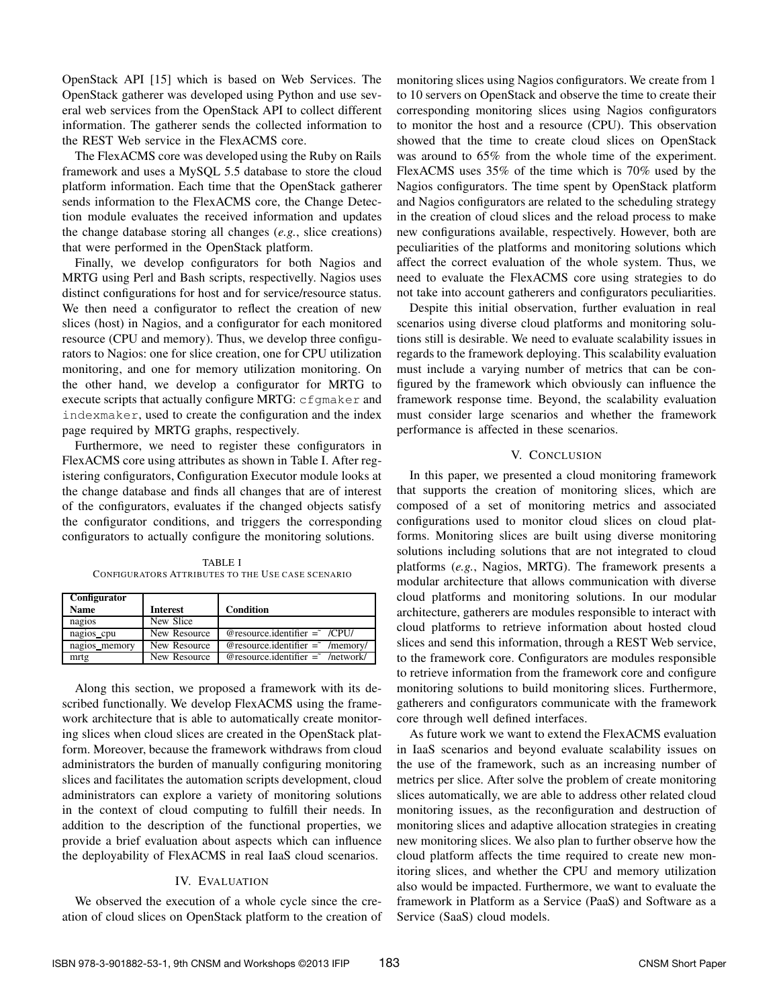OpenStack API [15] which is based on Web Services. The OpenStack gatherer was developed using Python and use several web services from the OpenStack API to collect different information. The gatherer sends the collected information to the REST Web service in the FlexACMS core.

The FlexACMS core was developed using the Ruby on Rails framework and uses a MySQL 5.5 database to store the cloud platform information. Each time that the OpenStack gatherer sends information to the FlexACMS core, the Change Detection module evaluates the received information and updates the change database storing all changes (*e.g.*, slice creations) that were performed in the OpenStack platform.

Finally, we develop configurators for both Nagios and MRTG using Perl and Bash scripts, respectivelly. Nagios uses distinct configurations for host and for service/resource status. We then need a configurator to reflect the creation of new slices (host) in Nagios, and a configurator for each monitored resource (CPU and memory). Thus, we develop three configurators to Nagios: one for slice creation, one for CPU utilization monitoring, and one for memory utilization monitoring. On the other hand, we develop a configurator for MRTG to execute scripts that actually configure MRTG: cfgmaker and indexmaker, used to create the configuration and the index page required by MRTG graphs, respectively.

Furthermore, we need to register these configurators in FlexACMS core using attributes as shown in Table I. After registering configurators, Configuration Executor module looks at the change database and finds all changes that are of interest of the configurators, evaluates if the changed objects satisfy the configurator conditions, and triggers the corresponding configurators to actually configure the monitoring solutions.

TABLE I CONFIGURATORS ATTRIBUTES TO THE USE CASE SCENARIO

| Configurator<br><b>Name</b> | <b>Interest</b> | Condition                          |
|-----------------------------|-----------------|------------------------------------|
| nagios                      | New Slice       |                                    |
| nagios_cpu                  | New Resource    | @resource.identifier $=$ /CPU/     |
| nagios_memory               | New Resource    | @resource.identifier $=$ /memory/  |
| mrtg                        | New Resource    | @resource.identifier $=$ /network/ |

Along this section, we proposed a framework with its described functionally. We develop FlexACMS using the framework architecture that is able to automatically create monitoring slices when cloud slices are created in the OpenStack platform. Moreover, because the framework withdraws from cloud administrators the burden of manually configuring monitoring slices and facilitates the automation scripts development, cloud administrators can explore a variety of monitoring solutions in the context of cloud computing to fulfill their needs. In addition to the description of the functional properties, we provide a brief evaluation about aspects which can influence the deployability of FlexACMS in real IaaS cloud scenarios.

# IV. EVALUATION

We observed the execution of a whole cycle since the creation of cloud slices on OpenStack platform to the creation of monitoring slices using Nagios configurators. We create from 1 to 10 servers on OpenStack and observe the time to create their corresponding monitoring slices using Nagios configurators to monitor the host and a resource (CPU). This observation showed that the time to create cloud slices on OpenStack was around to 65% from the whole time of the experiment. FlexACMS uses 35% of the time which is 70% used by the Nagios configurators. The time spent by OpenStack platform and Nagios configurators are related to the scheduling strategy in the creation of cloud slices and the reload process to make new configurations available, respectively. However, both are peculiarities of the platforms and monitoring solutions which affect the correct evaluation of the whole system. Thus, we need to evaluate the FlexACMS core using strategies to do not take into account gatherers and configurators peculiarities.

Despite this initial observation, further evaluation in real scenarios using diverse cloud platforms and monitoring solutions still is desirable. We need to evaluate scalability issues in regards to the framework deploying. This scalability evaluation must include a varying number of metrics that can be configured by the framework which obviously can influence the framework response time. Beyond, the scalability evaluation must consider large scenarios and whether the framework performance is affected in these scenarios.

## V. CONCLUSION

In this paper, we presented a cloud monitoring framework that supports the creation of monitoring slices, which are composed of a set of monitoring metrics and associated configurations used to monitor cloud slices on cloud platforms. Monitoring slices are built using diverse monitoring solutions including solutions that are not integrated to cloud platforms (*e.g.*, Nagios, MRTG). The framework presents a modular architecture that allows communication with diverse cloud platforms and monitoring solutions. In our modular architecture, gatherers are modules responsible to interact with cloud platforms to retrieve information about hosted cloud slices and send this information, through a REST Web service, to the framework core. Configurators are modules responsible to retrieve information from the framework core and configure monitoring solutions to build monitoring slices. Furthermore, gatherers and configurators communicate with the framework core through well defined interfaces.

As future work we want to extend the FlexACMS evaluation in IaaS scenarios and beyond evaluate scalability issues on the use of the framework, such as an increasing number of metrics per slice. After solve the problem of create monitoring slices automatically, we are able to address other related cloud monitoring issues, as the reconfiguration and destruction of monitoring slices and adaptive allocation strategies in creating new monitoring slices. We also plan to further observe how the cloud platform affects the time required to create new monitoring slices, and whether the CPU and memory utilization also would be impacted. Furthermore, we want to evaluate the framework in Platform as a Service (PaaS) and Software as a Service (SaaS) cloud models.